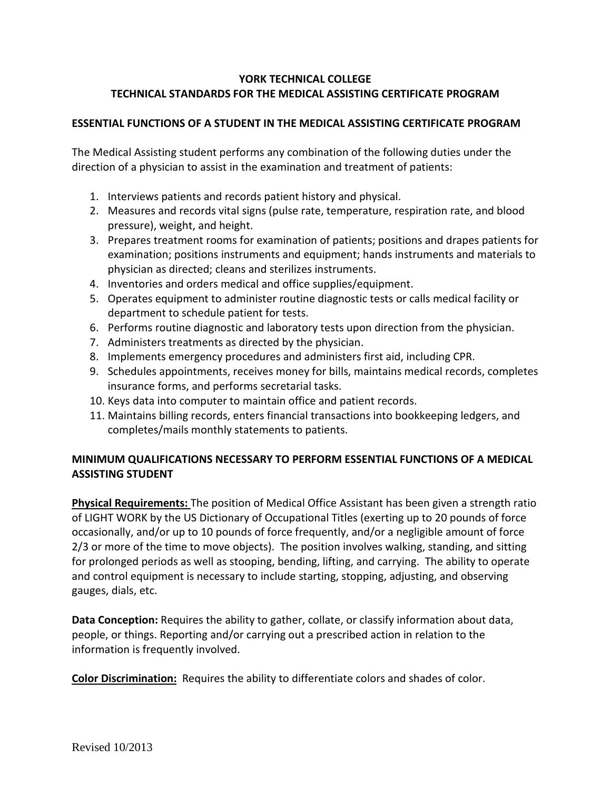## **YORK TECHNICAL COLLEGE TECHNICAL STANDARDS FOR THE MEDICAL ASSISTING CERTIFICATE PROGRAM**

## **ESSENTIAL FUNCTIONS OF A STUDENT IN THE MEDICAL ASSISTING CERTIFICATE PROGRAM**

The Medical Assisting student performs any combination of the following duties under the direction of a physician to assist in the examination and treatment of patients:

- 1. Interviews patients and records patient history and physical.
- 2. Measures and records vital signs (pulse rate, temperature, respiration rate, and blood pressure), weight, and height.
- 3. Prepares treatment rooms for examination of patients; positions and drapes patients for examination; positions instruments and equipment; hands instruments and materials to physician as directed; cleans and sterilizes instruments.
- 4. Inventories and orders medical and office supplies/equipment.
- 5. Operates equipment to administer routine diagnostic tests or calls medical facility or department to schedule patient for tests.
- 6. Performs routine diagnostic and laboratory tests upon direction from the physician.
- 7. Administers treatments as directed by the physician.
- 8. Implements emergency procedures and administers first aid, including CPR.
- 9. Schedules appointments, receives money for bills, maintains medical records, completes insurance forms, and performs secretarial tasks.
- 10. Keys data into computer to maintain office and patient records.
- 11. Maintains billing records, enters financial transactions into bookkeeping ledgers, and completes/mails monthly statements to patients.

## **MINIMUM QUALIFICATIONS NECESSARY TO PERFORM ESSENTIAL FUNCTIONS OF A MEDICAL ASSISTING STUDENT**

**Physical Requirements:** The position of Medical Office Assistant has been given a strength ratio of LIGHT WORK by the US Dictionary of Occupational Titles (exerting up to 20 pounds of force occasionally, and/or up to 10 pounds of force frequently, and/or a negligible amount of force 2/3 or more of the time to move objects). The position involves walking, standing, and sitting for prolonged periods as well as stooping, bending, lifting, and carrying. The ability to operate and control equipment is necessary to include starting, stopping, adjusting, and observing gauges, dials, etc.

**Data Conception:** Requires the ability to gather, collate, or classify information about data, people, or things. Reporting and/or carrying out a prescribed action in relation to the information is frequently involved.

**Color Discrimination:** Requires the ability to differentiate colors and shades of color.